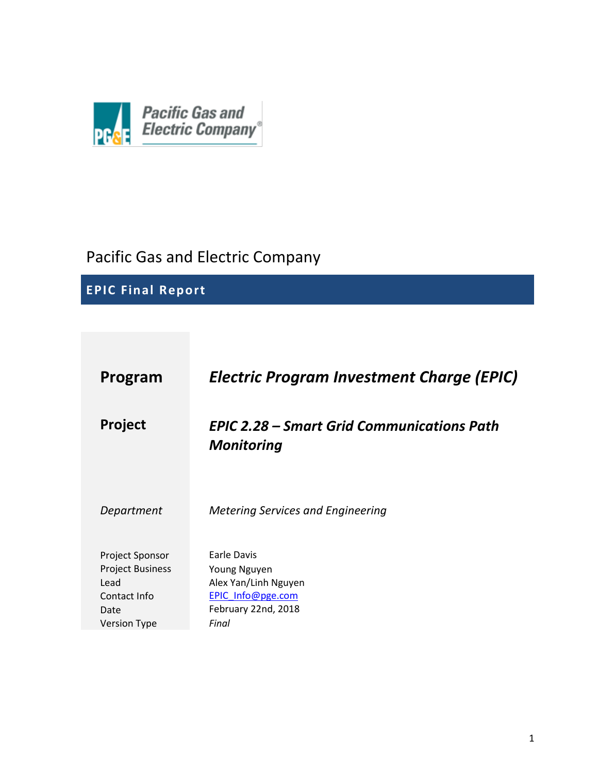

# Pacific Gas and Electric Company

# **EPIC Final Report**

| Program                                                                    | <b>Electric Program Investment Charge (EPIC)</b>                                                       |
|----------------------------------------------------------------------------|--------------------------------------------------------------------------------------------------------|
| <b>Project</b>                                                             | <b>EPIC 2.28 – Smart Grid Communications Path</b><br><b>Monitoring</b>                                 |
| Department                                                                 | <b>Metering Services and Engineering</b>                                                               |
| Project Sponsor<br><b>Project Business</b><br>Lead<br>Contact Info<br>Date | <b>Earle Davis</b><br>Young Nguyen<br>Alex Yan/Linh Nguyen<br>EPIC Info@pge.com<br>February 22nd, 2018 |
| <b>Version Type</b>                                                        | Final                                                                                                  |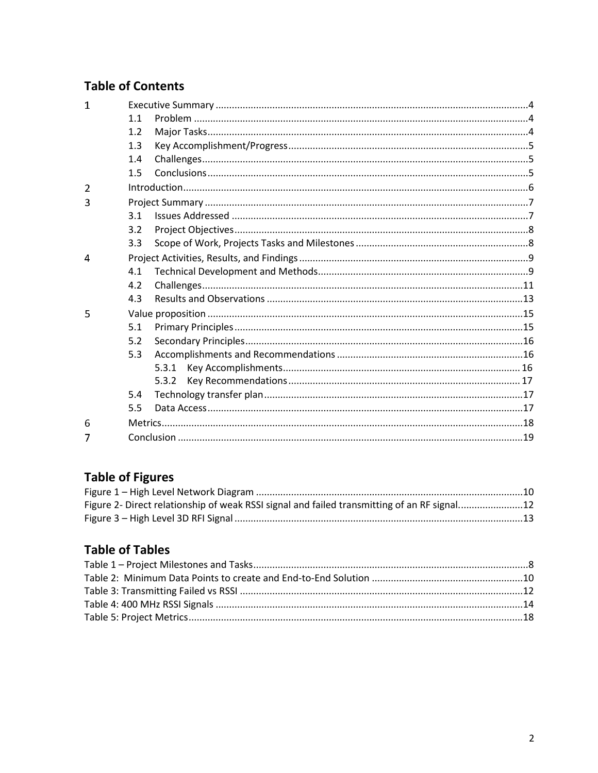# **Table of Contents**

| 1              |     |       |  |
|----------------|-----|-------|--|
|                | 1.1 |       |  |
|                | 1.2 |       |  |
|                | 1.3 |       |  |
|                | 1.4 |       |  |
|                | 1.5 |       |  |
| $\overline{2}$ |     |       |  |
| 3              |     |       |  |
|                | 3.1 |       |  |
|                | 3.2 |       |  |
|                | 3.3 |       |  |
| $\overline{4}$ |     |       |  |
|                | 4.1 |       |  |
|                | 4.2 |       |  |
|                | 4.3 |       |  |
| 5              |     |       |  |
|                | 5.1 |       |  |
|                | 5.2 |       |  |
|                | 5.3 |       |  |
|                |     | 5.3.1 |  |
|                |     | 5.3.2 |  |
|                | 5.4 |       |  |
|                | 5.5 |       |  |
| 6              |     |       |  |
|                |     |       |  |

# **Table of Figures**

| Figure 2- Direct relationship of weak RSSI signal and failed transmitting of an RF signal12 |  |
|---------------------------------------------------------------------------------------------|--|
|                                                                                             |  |

# **Table of Tables**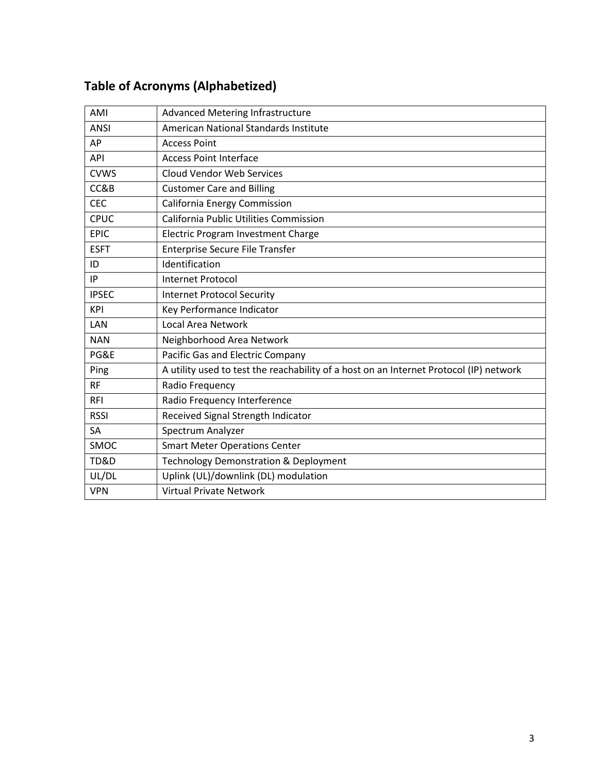| AMI          | <b>Advanced Metering Infrastructure</b>                                                |
|--------------|----------------------------------------------------------------------------------------|
| <b>ANSI</b>  | American National Standards Institute                                                  |
| AP           | <b>Access Point</b>                                                                    |
| API          | <b>Access Point Interface</b>                                                          |
| <b>CVWS</b>  | <b>Cloud Vendor Web Services</b>                                                       |
| CC&B         | <b>Customer Care and Billing</b>                                                       |
| <b>CEC</b>   | <b>California Energy Commission</b>                                                    |
| <b>CPUC</b>  | California Public Utilities Commission                                                 |
| <b>EPIC</b>  | Electric Program Investment Charge                                                     |
| <b>ESFT</b>  | <b>Enterprise Secure File Transfer</b>                                                 |
| ID           | Identification                                                                         |
| IP           | Internet Protocol                                                                      |
| <b>IPSEC</b> | <b>Internet Protocol Security</b>                                                      |
| KPI          | Key Performance Indicator                                                              |
| LAN          | Local Area Network                                                                     |
| <b>NAN</b>   | Neighborhood Area Network                                                              |
| PG&E         | Pacific Gas and Electric Company                                                       |
| Ping         | A utility used to test the reachability of a host on an Internet Protocol (IP) network |
| <b>RF</b>    | Radio Frequency                                                                        |
| <b>RFI</b>   | Radio Frequency Interference                                                           |
| <b>RSSI</b>  | Received Signal Strength Indicator                                                     |
| <b>SA</b>    | Spectrum Analyzer                                                                      |
| SMOC         | <b>Smart Meter Operations Center</b>                                                   |
| TD&D         | <b>Technology Demonstration &amp; Deployment</b>                                       |
| UL/DL        | Uplink (UL)/downlink (DL) modulation                                                   |
| <b>VPN</b>   | <b>Virtual Private Network</b>                                                         |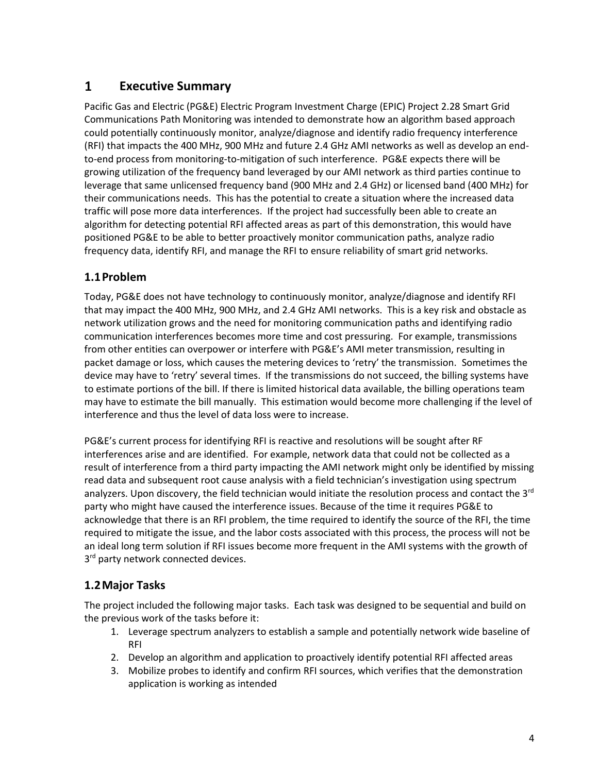#### <span id="page-3-0"></span> $\mathbf{1}$ **Executive Summary**

Pacific Gas and Electric (PG&E) Electric Program Investment Charge (EPIC) Project 2.28 Smart Grid Communications Path Monitoring was intended to demonstrate how an algorithm based approach could potentially continuously monitor, analyze/diagnose and identify radio frequency interference (RFI) that impacts the 400 MHz, 900 MHz and future 2.4 GHz AMI networks as well as develop an endto-end process from monitoring-to-mitigation of such interference. PG&E expects there will be growing utilization of the frequency band leveraged by our AMI network as third parties continue to leverage that same unlicensed frequency band (900 MHz and 2.4 GHz) or licensed band (400 MHz) for their communications needs. This has the potential to create a situation where the increased data traffic will pose more data interferences. If the project had successfully been able to create an algorithm for detecting potential RFI affected areas as part of this demonstration, this would have positioned PG&E to be able to better proactively monitor communication paths, analyze radio frequency data, identify RFI, and manage the RFI to ensure reliability of smart grid networks.

## <span id="page-3-1"></span>**1.1Problem**

Today, PG&E does not have technology to continuously monitor, analyze/diagnose and identify RFI that may impact the 400 MHz, 900 MHz, and 2.4 GHz AMI networks. This is a key risk and obstacle as network utilization grows and the need for monitoring communication paths and identifying radio communication interferences becomes more time and cost pressuring. For example, transmissions from other entities can overpower or interfere with PG&E's AMI meter transmission, resulting in packet damage or loss, which causes the metering devices to 'retry' the transmission. Sometimes the device may have to 'retry' several times. If the transmissions do not succeed, the billing systems have to estimate portions of the bill. If there is limited historical data available, the billing operations team may have to estimate the bill manually. This estimation would become more challenging if the level of interference and thus the level of data loss were to increase.

PG&E's current process for identifying RFI is reactive and resolutions will be sought after RF interferences arise and are identified. For example, network data that could not be collected as a result of interference from a third party impacting the AMI network might only be identified by missing read data and subsequent root cause analysis with a field technician's investigation using spectrum analyzers. Upon discovery, the field technician would initiate the resolution process and contact the 3<sup>rd</sup> party who might have caused the interference issues. Because of the time it requires PG&E to acknowledge that there is an RFI problem, the time required to identify the source of the RFI, the time required to mitigate the issue, and the labor costs associated with this process, the process will not be an ideal long term solution if RFI issues become more frequent in the AMI systems with the growth of 3<sup>rd</sup> party network connected devices.

## <span id="page-3-2"></span>**1.2Major Tasks**

The project included the following major tasks. Each task was designed to be sequential and build on the previous work of the tasks before it:

- 1. Leverage spectrum analyzers to establish a sample and potentially network wide baseline of RFI
- 2. Develop an algorithm and application to proactively identify potential RFI affected areas
- 3. Mobilize probes to identify and confirm RFI sources, which verifies that the demonstration application is working as intended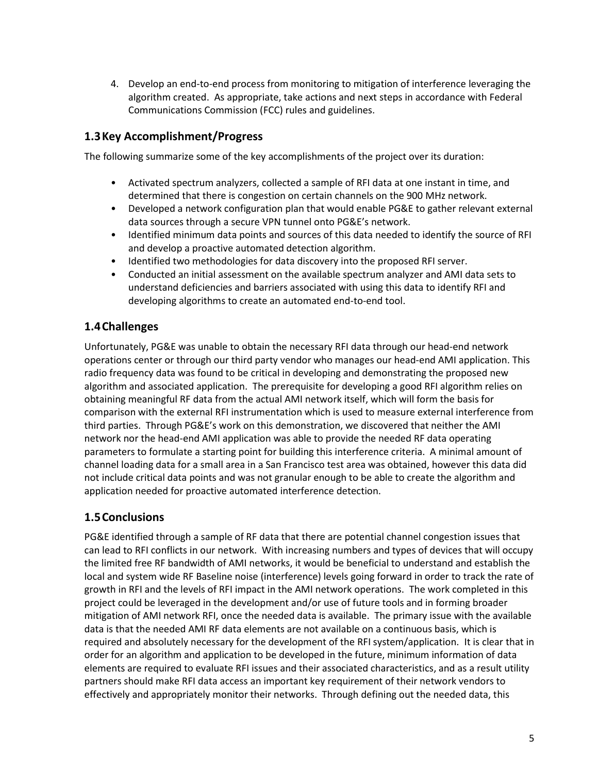4. Develop an end-to-end process from monitoring to mitigation of interference leveraging the algorithm created. As appropriate, take actions and next steps in accordance with Federal Communications Commission (FCC) rules and guidelines.

### <span id="page-4-0"></span>**1.3Key Accomplishment/Progress**

The following summarize some of the key accomplishments of the project over its duration:

- Activated spectrum analyzers, collected a sample of RFI data at one instant in time, and determined that there is congestion on certain channels on the 900 MHz network.
- Developed a network configuration plan that would enable PG&E to gather relevant external data sources through a secure VPN tunnel onto PG&E's network.
- Identified minimum data points and sources of this data needed to identify the source of RFI and develop a proactive automated detection algorithm.
- Identified two methodologies for data discovery into the proposed RFI server.
- Conducted an initial assessment on the available spectrum analyzer and AMI data sets to understand deficiencies and barriers associated with using this data to identify RFI and developing algorithms to create an automated end-to-end tool.

## <span id="page-4-1"></span>**1.4Challenges**

Unfortunately, PG&E was unable to obtain the necessary RFI data through our head-end network operations center or through our third party vendor who manages our head-end AMI application. This radio frequency data was found to be critical in developing and demonstrating the proposed new algorithm and associated application. The prerequisite for developing a good RFI algorithm relies on obtaining meaningful RF data from the actual AMI network itself, which will form the basis for comparison with the external RFI instrumentation which is used to measure external interference from third parties. Through PG&E's work on this demonstration, we discovered that neither the AMI network nor the head-end AMI application was able to provide the needed RF data operating parameters to formulate a starting point for building this interference criteria. A minimal amount of channel loading data for a small area in a San Francisco test area was obtained, however this data did not include critical data points and was not granular enough to be able to create the algorithm and application needed for proactive automated interference detection.

## <span id="page-4-2"></span>**1.5Conclusions**

PG&E identified through a sample of RF data that there are potential channel congestion issues that can lead to RFI conflicts in our network. With increasing numbers and types of devices that will occupy the limited free RF bandwidth of AMI networks, it would be beneficial to understand and establish the local and system wide RF Baseline noise (interference) levels going forward in order to track the rate of growth in RFI and the levels of RFI impact in the AMI network operations. The work completed in this project could be leveraged in the development and/or use of future tools and in forming broader mitigation of AMI network RFI, once the needed data is available. The primary issue with the available data is that the needed AMI RF data elements are not available on a continuous basis, which is required and absolutely necessary for the development of the RFI system/application. It is clear that in order for an algorithm and application to be developed in the future, minimum information of data elements are required to evaluate RFI issues and their associated characteristics, and as a result utility partners should make RFI data access an important key requirement of their network vendors to effectively and appropriately monitor their networks. Through defining out the needed data, this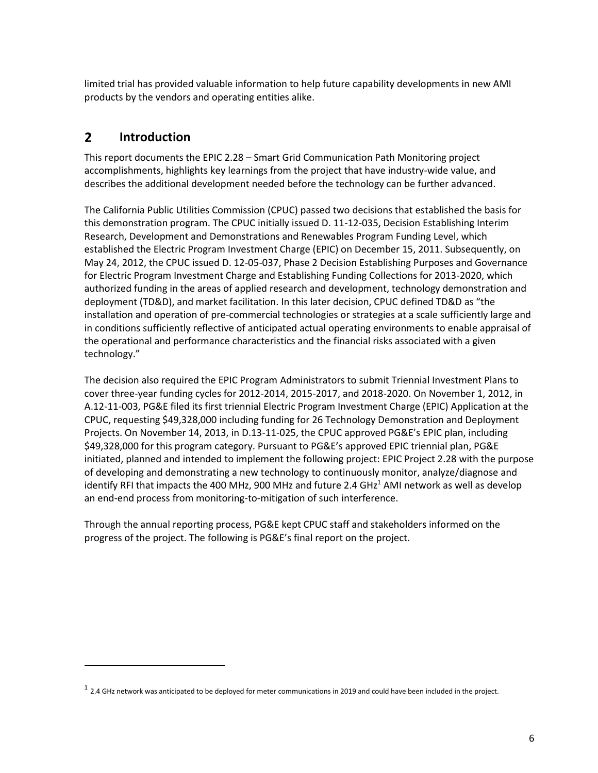limited trial has provided valuable information to help future capability developments in new AMI products by the vendors and operating entities alike.

#### <span id="page-5-0"></span> $2<sup>1</sup>$ **Introduction**

 $\overline{a}$ 

This report documents the EPIC 2.28 – Smart Grid Communication Path Monitoring project accomplishments, highlights key learnings from the project that have industry-wide value, and describes the additional development needed before the technology can be further advanced.

The California Public Utilities Commission (CPUC) passed two decisions that established the basis for this demonstration program. The CPUC initially issued D. 11-12-035, Decision Establishing Interim Research, Development and Demonstrations and Renewables Program Funding Level, which established the Electric Program Investment Charge (EPIC) on December 15, 2011. Subsequently, on May 24, 2012, the CPUC issued D. 12-05-037, Phase 2 Decision Establishing Purposes and Governance for Electric Program Investment Charge and Establishing Funding Collections for 2013-2020, which authorized funding in the areas of applied research and development, technology demonstration and deployment (TD&D), and market facilitation. In this later decision, CPUC defined TD&D as "the installation and operation of pre-commercial technologies or strategies at a scale sufficiently large and in conditions sufficiently reflective of anticipated actual operating environments to enable appraisal of the operational and performance characteristics and the financial risks associated with a given technology."

The decision also required the EPIC Program Administrators to submit Triennial Investment Plans to cover three-year funding cycles for 2012-2014, 2015-2017, and 2018-2020. On November 1, 2012, in A.12-11-003, PG&E filed its first triennial Electric Program Investment Charge (EPIC) Application at the CPUC, requesting \$49,328,000 including funding for 26 Technology Demonstration and Deployment Projects. On November 14, 2013, in D.13-11-025, the CPUC approved PG&E's EPIC plan, including \$49,328,000 for this program category. Pursuant to PG&E's approved EPIC triennial plan, PG&E initiated, planned and intended to implement the following project: EPIC Project 2.28 with the purpose of developing and demonstrating a new technology to continuously monitor, analyze/diagnose and identify RFI that impacts the 400 MHz, 900 MHz and future 2.4 GH $z<sup>1</sup>$  AMI network as well as develop an end-end process from monitoring-to-mitigation of such interference.

Through the annual reporting process, PG&E kept CPUC staff and stakeholders informed on the progress of the project. The following is PG&E's final report on the project.

 $^1$  2.4 GHz network was anticipated to be deployed for meter communications in 2019 and could have been included in the project.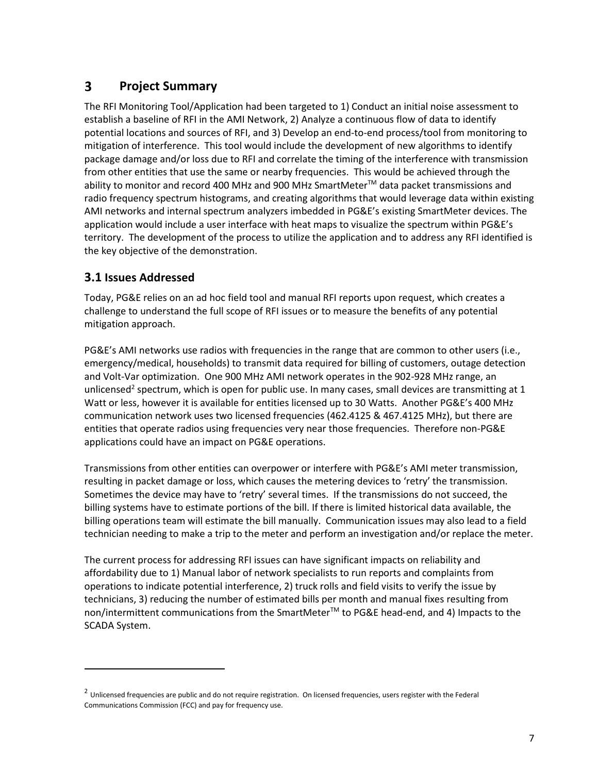#### <span id="page-6-0"></span> $\overline{\mathbf{3}}$ **Project Summary**

The RFI Monitoring Tool/Application had been targeted to 1) Conduct an initial noise assessment to establish a baseline of RFI in the AMI Network, 2) Analyze a continuous flow of data to identify potential locations and sources of RFI, and 3) Develop an end-to-end process/tool from monitoring to mitigation of interference. This tool would include the development of new algorithms to identify package damage and/or loss due to RFI and correlate the timing of the interference with transmission from other entities that use the same or nearby frequencies. This would be achieved through the ability to monitor and record 400 MHz and 900 MHz SmartMeter™ data packet transmissions and radio frequency spectrum histograms, and creating algorithms that would leverage data within existing AMI networks and internal spectrum analyzers imbedded in PG&E's existing SmartMeter devices. The application would include a user interface with heat maps to visualize the spectrum within PG&E's territory. The development of the process to utilize the application and to address any RFI identified is the key objective of the demonstration.

## <span id="page-6-1"></span>**3.1 Issues Addressed**

 $\overline{a}$ 

Today, PG&E relies on an ad hoc field tool and manual RFI reports upon request, which creates a challenge to understand the full scope of RFI issues or to measure the benefits of any potential mitigation approach.

PG&E's AMI networks use radios with frequencies in the range that are common to other users (i.e., emergency/medical, households) to transmit data required for billing of customers, outage detection and Volt-Var optimization. One 900 MHz AMI network operates in the 902-928 MHz range, an unlicensed<sup>2</sup> spectrum, which is open for public use. In many cases, small devices are transmitting at 1 Watt or less, however it is available for entities licensed up to 30 Watts. Another PG&E's 400 MHz communication network uses two licensed frequencies (462.4125 & 467.4125 MHz), but there are entities that operate radios using frequencies very near those frequencies. Therefore non-PG&E applications could have an impact on PG&E operations.

Transmissions from other entities can overpower or interfere with PG&E's AMI meter transmission, resulting in packet damage or loss, which causes the metering devices to 'retry' the transmission. Sometimes the device may have to 'retry' several times. If the transmissions do not succeed, the billing systems have to estimate portions of the bill. If there is limited historical data available, the billing operations team will estimate the bill manually. Communication issues may also lead to a field technician needing to make a trip to the meter and perform an investigation and/or replace the meter.

The current process for addressing RFI issues can have significant impacts on reliability and affordability due to 1) Manual labor of network specialists to run reports and complaints from operations to indicate potential interference, 2) truck rolls and field visits to verify the issue by technicians, 3) reducing the number of estimated bills per month and manual fixes resulting from non/intermittent communications from the SmartMeter™ to PG&E head-end, and 4) Impacts to the SCADA System.

 $^2$  Unlicensed frequencies are public and do not require registration. On licensed frequencies, users register with the Federal Communications Commission (FCC) and pay for frequency use.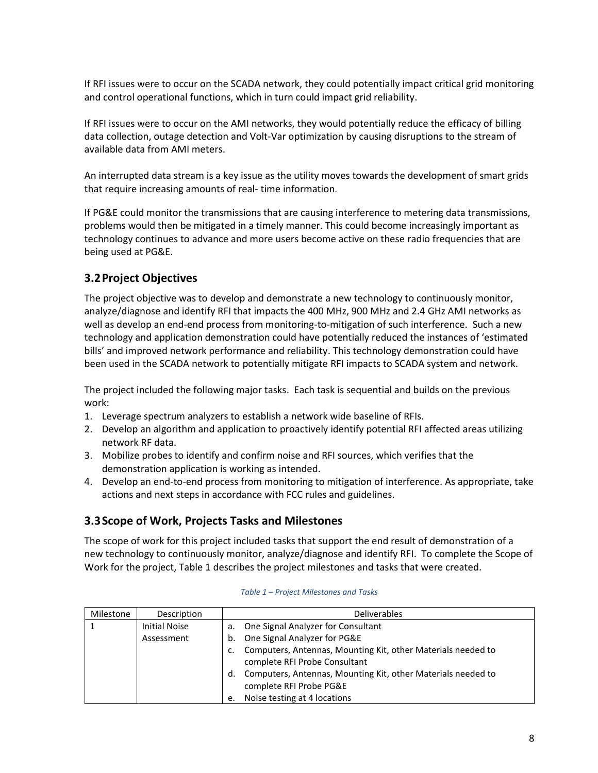If RFI issues were to occur on the SCADA network, they could potentially impact critical grid monitoring and control operational functions, which in turn could impact grid reliability.

If RFI issues were to occur on the AMI networks, they would potentially reduce the efficacy of billing data collection, outage detection and Volt-Var optimization by causing disruptions to the stream of available data from AMI meters.

An interrupted data stream is a key issue as the utility moves towards the development of smart grids that require increasing amounts of real- time information.

If PG&E could monitor the transmissions that are causing interference to metering data transmissions, problems would then be mitigated in a timely manner. This could become increasingly important as technology continues to advance and more users become active on these radio frequencies that are being used at PG&E.

### <span id="page-7-0"></span>**3.2Project Objectives**

The project objective was to develop and demonstrate a new technology to continuously monitor, analyze/diagnose and identify RFI that impacts the 400 MHz, 900 MHz and 2.4 GHz AMI networks as well as develop an end-end process from monitoring-to-mitigation of such interference. Such a new technology and application demonstration could have potentially reduced the instances of 'estimated bills' and improved network performance and reliability. This technology demonstration could have been used in the SCADA network to potentially mitigate RFI impacts to SCADA system and network.

The project included the following major tasks. Each task is sequential and builds on the previous work:

- 1. Leverage spectrum analyzers to establish a network wide baseline of RFIs.
- 2. Develop an algorithm and application to proactively identify potential RFI affected areas utilizing network RF data.
- 3. Mobilize probes to identify and confirm noise and RFI sources, which verifies that the demonstration application is working as intended.
- 4. Develop an end-to-end process from monitoring to mitigation of interference. As appropriate, take actions and next steps in accordance with FCC rules and guidelines.

### <span id="page-7-1"></span>**3.3Scope of Work, Projects Tasks and Milestones**

The scope of work for this project included tasks that support the end result of demonstration of a new technology to continuously monitor, analyze/diagnose and identify RFI. To complete the Scope of Work for the project, Table 1 describes the project milestones and tasks that were created.

<span id="page-7-2"></span>

| Milestone | Description          | <b>Deliverables</b>                                                |
|-----------|----------------------|--------------------------------------------------------------------|
|           | <b>Initial Noise</b> | One Signal Analyzer for Consultant<br>а.                           |
|           | Assessment           | One Signal Analyzer for PG&E<br>b.                                 |
|           |                      | Computers, Antennas, Mounting Kit, other Materials needed to<br>c. |
|           |                      | complete RFI Probe Consultant                                      |
|           |                      | Computers, Antennas, Mounting Kit, other Materials needed to<br>d. |
|           |                      | complete RFI Probe PG&E                                            |
|           |                      | Noise testing at 4 locations<br>e.                                 |

| Table 1 – Project Milestones and Tasks |  |  |  |  |  |
|----------------------------------------|--|--|--|--|--|
|----------------------------------------|--|--|--|--|--|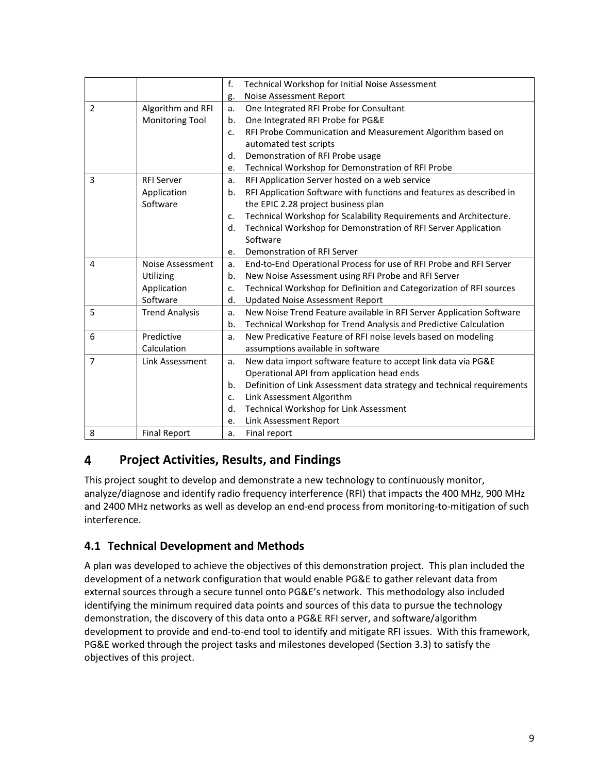|                |                        | f. | Technical Workshop for Initial Noise Assessment                        |
|----------------|------------------------|----|------------------------------------------------------------------------|
|                |                        | g. | Noise Assessment Report                                                |
| $\overline{2}$ | Algorithm and RFI      | a. | One Integrated RFI Probe for Consultant                                |
|                | <b>Monitoring Tool</b> | b. | One Integrated RFI Probe for PG&E                                      |
|                |                        | c. | RFI Probe Communication and Measurement Algorithm based on             |
|                |                        |    | automated test scripts                                                 |
|                |                        | d. | Demonstration of RFI Probe usage                                       |
|                |                        | e. | Technical Workshop for Demonstration of RFI Probe                      |
| 3              | <b>RFI Server</b>      | a. | RFI Application Server hosted on a web service                         |
|                | Application            | b. | RFI Application Software with functions and features as described in   |
|                | Software               |    | the EPIC 2.28 project business plan                                    |
|                |                        | c. | Technical Workshop for Scalability Requirements and Architecture.      |
|                |                        | d. | Technical Workshop for Demonstration of RFI Server Application         |
|                |                        |    | Software                                                               |
|                |                        | e. | Demonstration of RFI Server                                            |
| 4              | Noise Assessment       | a. | End-to-End Operational Process for use of RFI Probe and RFI Server     |
|                | Utilizing              | b. | New Noise Assessment using RFI Probe and RFI Server                    |
|                | Application            | c. | Technical Workshop for Definition and Categorization of RFI sources    |
|                | Software               | d. | <b>Updated Noise Assessment Report</b>                                 |
| 5              | <b>Trend Analysis</b>  | a. | New Noise Trend Feature available in RFI Server Application Software   |
|                |                        | b. | Technical Workshop for Trend Analysis and Predictive Calculation       |
| 6              | Predictive             | a. | New Predicative Feature of RFI noise levels based on modeling          |
|                | Calculation            |    | assumptions available in software                                      |
| $\overline{7}$ | Link Assessment        | a. | New data import software feature to accept link data via PG&E          |
|                |                        |    | Operational API from application head ends                             |
|                |                        | b. | Definition of Link Assessment data strategy and technical requirements |
|                |                        | c. | Link Assessment Algorithm                                              |
|                |                        | d. | Technical Workshop for Link Assessment                                 |
|                |                        | e. | Link Assessment Report                                                 |
| 8              | <b>Final Report</b>    | a. | Final report                                                           |

#### <span id="page-8-0"></span>4 **Project Activities, Results, and Findings**

This project sought to develop and demonstrate a new technology to continuously monitor, analyze/diagnose and identify radio frequency interference (RFI) that impacts the 400 MHz, 900 MHz and 2400 MHz networks as well as develop an end-end process from monitoring-to-mitigation of such interference.

## <span id="page-8-1"></span>**4.1 Technical Development and Methods**

A plan was developed to achieve the objectives of this demonstration project. This plan included the development of a network configuration that would enable PG&E to gather relevant data from external sources through a secure tunnel onto PG&E's network. This methodology also included identifying the minimum required data points and sources of this data to pursue the technology demonstration, the discovery of this data onto a PG&E RFI server, and software/algorithm development to provide and end-to-end tool to identify and mitigate RFI issues. With this framework, PG&E worked through the project tasks and milestones developed (Section 3.3) to satisfy the objectives of this project.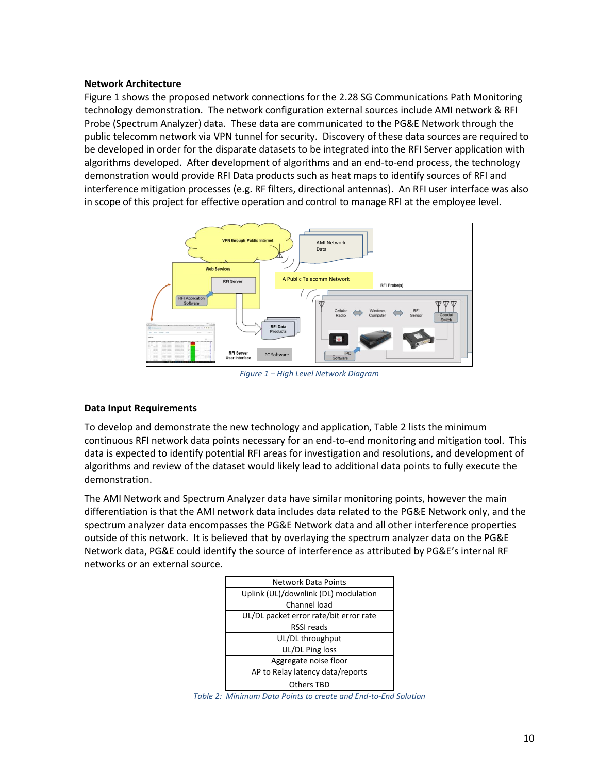#### **Network Architecture**

Figure 1 shows the proposed network connections for the 2.28 SG Communications Path Monitoring technology demonstration. The network configuration external sources include AMI network & RFI Probe (Spectrum Analyzer) data. These data are communicated to the PG&E Network through the public telecomm network via VPN tunnel for security. Discovery of these data sources are required to be developed in order for the disparate datasets to be integrated into the RFI Server application with algorithms developed. After development of algorithms and an end-to-end process, the technology demonstration would provide RFI Data products such as heat maps to identify sources of RFI and interference mitigation processes (e.g. RF filters, directional antennas). An RFI user interface was also in scope of this project for effective operation and control to manage RFI at the employee level.



*Figure 1 – High Level Network Diagram* 

### <span id="page-9-0"></span>**Data Input Requirements**

To develop and demonstrate the new technology and application, Table 2 lists the minimum continuous RFI network data points necessary for an end-to-end monitoring and mitigation tool. This data is expected to identify potential RFI areas for investigation and resolutions, and development of algorithms and review of the dataset would likely lead to additional data points to fully execute the demonstration.

The AMI Network and Spectrum Analyzer data have similar monitoring points, however the main differentiation is that the AMI network data includes data related to the PG&E Network only, and the spectrum analyzer data encompasses the PG&E Network data and all other interference properties outside of this network. It is believed that by overlaying the spectrum analyzer data on the PG&E Network data, PG&E could identify the source of interference as attributed by PG&E's internal RF networks or an external source.

| <b>Network Data Points</b>             |
|----------------------------------------|
| Uplink (UL)/downlink (DL) modulation   |
| Channel load                           |
| UL/DL packet error rate/bit error rate |
| RSSI reads                             |
| UL/DL throughput                       |
| UL/DL Ping loss                        |
| Aggregate noise floor                  |
| AP to Relay latency data/reports       |
| <b>Others TBD</b>                      |

<span id="page-9-1"></span>*Table 2: Minimum Data Points to create and End-to-End Solution*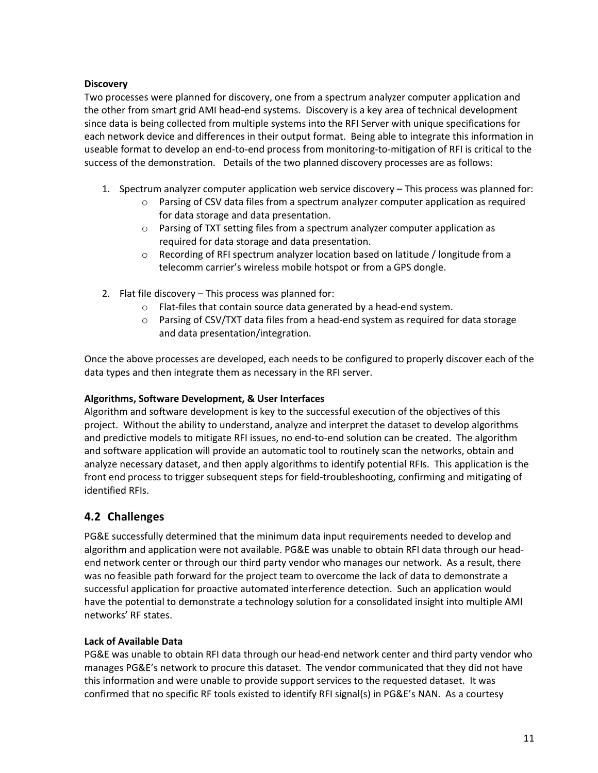### **Discovery**

Two processes were planned for discovery, one from a spectrum analyzer computer application and the other from smart grid AMI head-end systems. Discovery is a key area of technical development since data is being collected from multiple systems into the RFI Server with unique specifications for each network device and differences in their output format. Being able to integrate this information in useable format to develop an end-to-end process from monitoring-to-mitigation of RFI is critical to the success of the demonstration. Details of the two planned discovery processes are as follows:

- 1. Spectrum analyzer computer application web service discovery This process was planned for:
	- $\circ$  Parsing of CSV data files from a spectrum analyzer computer application as required for data storage and data presentation.
	- o Parsing of TXT setting files from a spectrum analyzer computer application as required for data storage and data presentation.
	- $\circ$  Recording of RFI spectrum analyzer location based on latitude / longitude from a telecomm carrier's wireless mobile hotspot or from a GPS dongle.
- 2. Flat file discovery This process was planned for:
	- o Flat-files that contain source data generated by a head-end system.
	- $\circ$  Parsing of CSV/TXT data files from a head-end system as required for data storage and data presentation/integration.

Once the above processes are developed, each needs to be configured to properly discover each of the data types and then integrate them as necessary in the RFI server.

### **Algorithms, Software Development, & User Interfaces**

Algorithm and software development is key to the successful execution of the objectives of this project. Without the ability to understand, analyze and interpret the dataset to develop algorithms and predictive models to mitigate RFI issues, no end-to-end solution can be created. The algorithm and software application will provide an automatic tool to routinely scan the networks, obtain and analyze necessary dataset, and then apply algorithms to identify potential RFIs. This application is the front end process to trigger subsequent steps for field-troubleshooting, confirming and mitigating of identified RFIs.

### <span id="page-10-0"></span>**4.2 Challenges**

PG&E successfully determined that the minimum data input requirements needed to develop and algorithm and application were not available. PG&E was unable to obtain RFI data through our headend network center or through our third party vendor who manages our network. As a result, there was no feasible path forward for the project team to overcome the lack of data to demonstrate a successful application for proactive automated interference detection. Such an application would have the potential to demonstrate a technology solution for a consolidated insight into multiple AMI networks' RF states.

### **Lack of Available Data**

PG&E was unable to obtain RFI data through our head-end network center and third party vendor who manages PG&E's network to procure this dataset. The vendor communicated that they did not have this information and were unable to provide support services to the requested dataset. It was confirmed that no specific RF tools existed to identify RFI signal(s) in PG&E's NAN. As a courtesy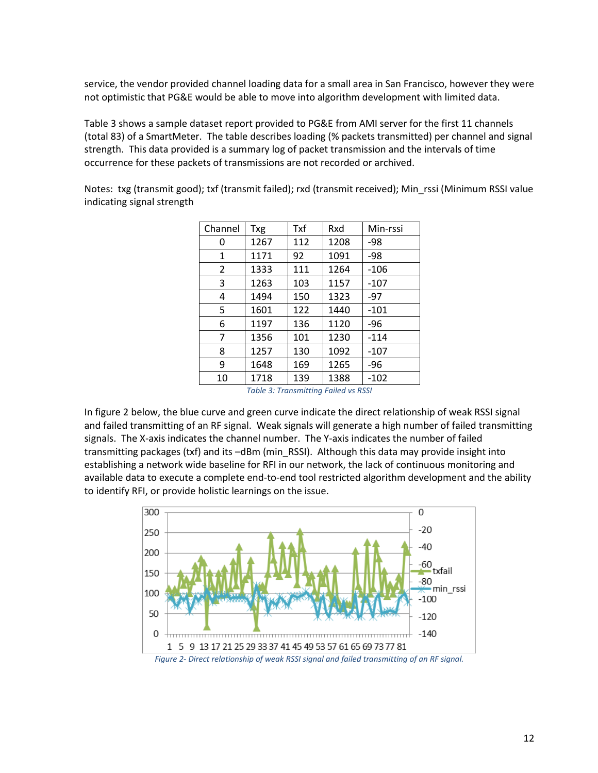service, the vendor provided channel loading data for a small area in San Francisco, however they were not optimistic that PG&E would be able to move into algorithm development with limited data.

Table 3 shows a sample dataset report provided to PG&E from AMI server for the first 11 channels (total 83) of a SmartMeter. The table describes loading (% packets transmitted) per channel and signal strength. This data provided is a summary log of packet transmission and the intervals of time occurrence for these packets of transmissions are not recorded or archived.

Notes: txg (transmit good); txf (transmit failed); rxd (transmit received); Min\_rssi (Minimum RSSI value indicating signal strength

| Channel | <b>Txg</b>                           | Txf | Rxd  | Min-rssi |
|---------|--------------------------------------|-----|------|----------|
| 0       | 1267                                 | 112 | 1208 | -98      |
| 1       | 1171                                 | 92  | 1091 | -98      |
| 2       | 1333                                 | 111 | 1264 | $-106$   |
| 3       | 1263                                 | 103 | 1157 | $-107$   |
| 4       | 1494                                 | 150 | 1323 | $-97$    |
| 5       | 1601                                 | 122 | 1440 | $-101$   |
| 6       | 1197                                 | 136 | 1120 | -96      |
| 7       | 1356                                 | 101 | 1230 | $-114$   |
| 8       | 1257                                 | 130 | 1092 | $-107$   |
| 9       | 1648                                 | 169 | 1265 | -96      |
| 10      | 1718                                 | 139 | 1388 | $-102$   |
|         | Table 2: Transmitting Eailed us DCCL |     |      |          |

*Table 3: Transmitting Failed vs RSSI* 

<span id="page-11-1"></span>In figure 2 below, the blue curve and green curve indicate the direct relationship of weak RSSI signal and failed transmitting of an RF signal. Weak signals will generate a high number of failed transmitting signals. The X-axis indicates the channel number. The Y-axis indicates the number of failed transmitting packages (txf) and its –dBm (min\_RSSI). Although this data may provide insight into establishing a network wide baseline for RFI in our network, the lack of continuous monitoring and available data to execute a complete end-to-end tool restricted algorithm development and the ability to identify RFI, or provide holistic learnings on the issue.

<span id="page-11-0"></span>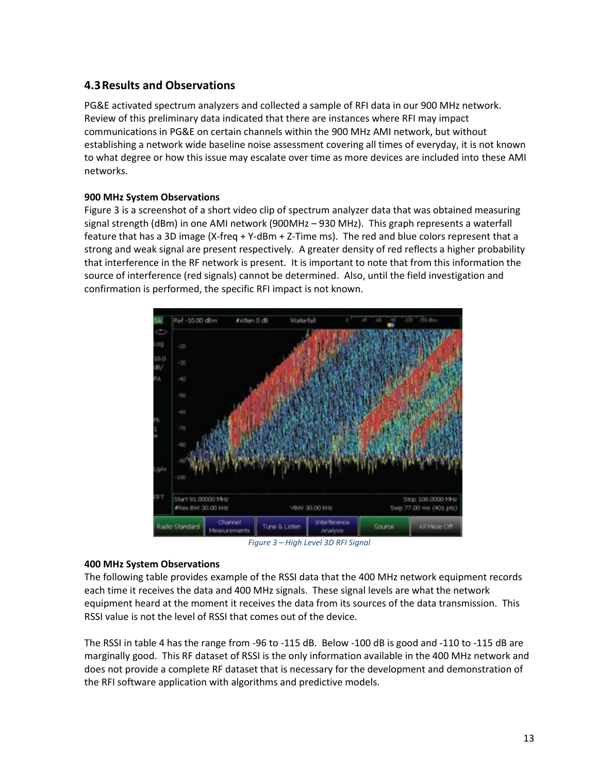### <span id="page-12-0"></span>**4.3Results and Observations**

PG&E activated spectrum analyzers and collected a sample of RFI data in our 900 MHz network. Review of this preliminary data indicated that there are instances where RFI may impact communications in PG&E on certain channels within the 900 MHz AMI network, but without establishing a network wide baseline noise assessment covering all times of everyday, it is not known to what degree or how this issue may escalate over time as more devices are included into these AMI networks.

### **900 MHz System Observations**

Figure 3 is a screenshot of a short video clip of spectrum analyzer data that was obtained measuring signal strength (dBm) in one AMI network (900MHz – 930 MHz). This graph represents a waterfall feature that has a 3D image (X-freq + Y-dBm + Z-Time ms). The red and blue colors represent that a strong and weak signal are present respectively. A greater density of red reflects a higher probability that interference in the RF network is present. It is important to note that from this information the source of interference (red signals) cannot be determined. Also, until the field investigation and confirmation is performed, the specific RFI impact is not known.



*Figure 3 – High Level 3D RFI Signal* 

### <span id="page-12-1"></span>**400 MHz System Observations**

The following table provides example of the RSSI data that the 400 MHz network equipment records each time it receives the data and 400 MHz signals. These signal levels are what the network equipment heard at the moment it receives the data from its sources of the data transmission. This RSSI value is not the level of RSSI that comes out of the device.

The RSSI in table 4 has the range from -96 to -115 dB. Below -100 dB is good and -110 to -115 dB are marginally good. This RF dataset of RSSI is the only information available in the 400 MHz network and does not provide a complete RF dataset that is necessary for the development and demonstration of the RFI software application with algorithms and predictive models.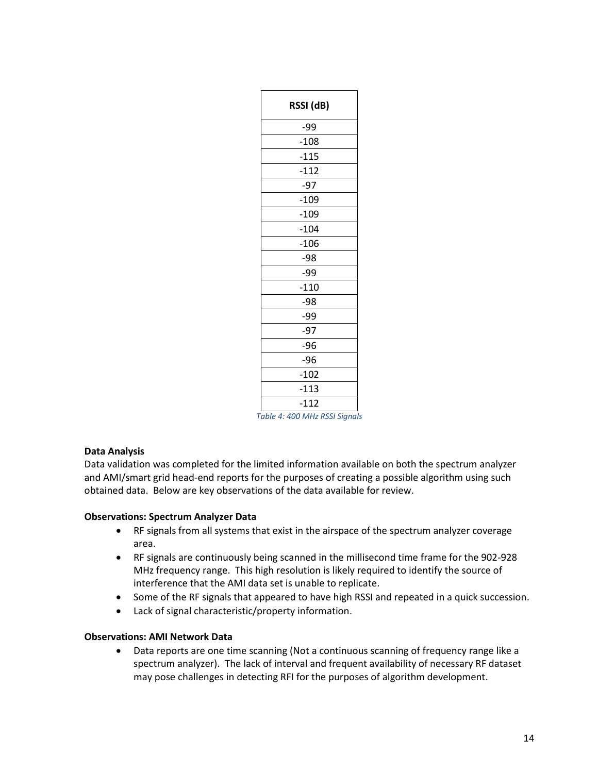| RSSI (dB) |
|-----------|
| -99       |
| $-108$    |
| $-115$    |
| $-112$    |
| $-97$     |
| $-109$    |
| $-109$    |
| $-104$    |
| $-106$    |
| -98       |
| -99       |
| $-110$    |
| $-98$     |
| -99       |
| $-97$     |
| $-96$     |
| $-96$     |
| $-102$    |
| $-113$    |
| $-112$    |

*Table 4: 400 MHz RSSI Signals* 

### <span id="page-13-0"></span>**Data Analysis**

Data validation was completed for the limited information available on both the spectrum analyzer and AMI/smart grid head-end reports for the purposes of creating a possible algorithm using such obtained data. Below are key observations of the data available for review.

### **Observations: Spectrum Analyzer Data**

- RF signals from all systems that exist in the airspace of the spectrum analyzer coverage area.
- RF signals are continuously being scanned in the millisecond time frame for the 902-928 MHz frequency range. This high resolution is likely required to identify the source of interference that the AMI data set is unable to replicate.
- Some of the RF signals that appeared to have high RSSI and repeated in a quick succession.
- Lack of signal characteristic/property information.

### **Observations: AMI Network Data**

• Data reports are one time scanning (Not a continuous scanning of frequency range like a spectrum analyzer). The lack of interval and frequent availability of necessary RF dataset may pose challenges in detecting RFI for the purposes of algorithm development.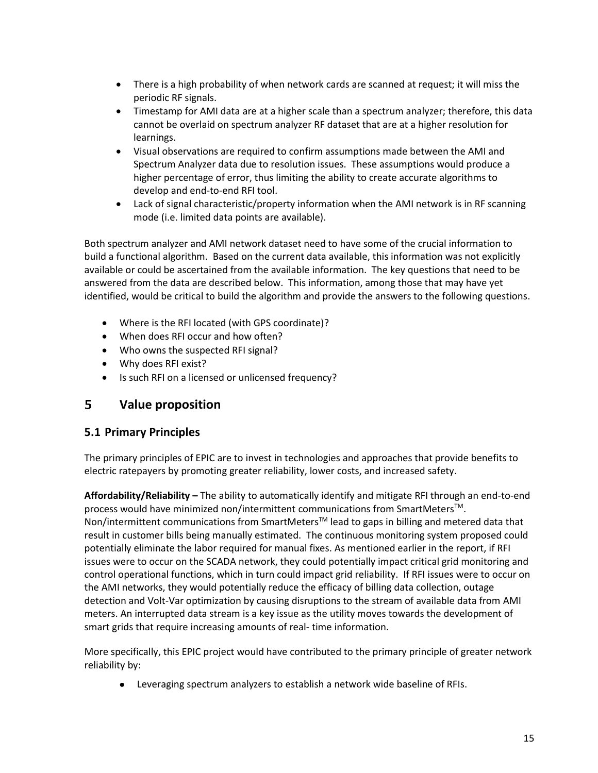- There is a high probability of when network cards are scanned at request; it will miss the periodic RF signals.
- Timestamp for AMI data are at a higher scale than a spectrum analyzer; therefore, this data cannot be overlaid on spectrum analyzer RF dataset that are at a higher resolution for learnings.
- Visual observations are required to confirm assumptions made between the AMI and Spectrum Analyzer data due to resolution issues. These assumptions would produce a higher percentage of error, thus limiting the ability to create accurate algorithms to develop and end-to-end RFI tool.
- Lack of signal characteristic/property information when the AMI network is in RF scanning mode (i.e. limited data points are available).

Both spectrum analyzer and AMI network dataset need to have some of the crucial information to build a functional algorithm. Based on the current data available, this information was not explicitly available or could be ascertained from the available information. The key questions that need to be answered from the data are described below. This information, among those that may have yet identified, would be critical to build the algorithm and provide the answers to the following questions.

- Where is the RFI located (with GPS coordinate)?
- When does RFI occur and how often?
- Who owns the suspected RFI signal?
- Why does RFI exist?
- Is such RFI on a licensed or unlicensed frequency?

#### <span id="page-14-0"></span>5 **Value proposition**

### <span id="page-14-1"></span>**5.1 Primary Principles**

The primary principles of EPIC are to invest in technologies and approaches that provide benefits to electric ratepayers by promoting greater reliability, lower costs, and increased safety.

**Affordability/Reliability –** The ability to automatically identify and mitigate RFI through an end-to-end process would have minimized non/intermittent communications from SmartMeters<sup>TM</sup>. Non/intermittent communications from SmartMeters<sup>TM</sup> lead to gaps in billing and metered data that result in customer bills being manually estimated. The continuous monitoring system proposed could potentially eliminate the labor required for manual fixes. As mentioned earlier in the report, if RFI issues were to occur on the SCADA network, they could potentially impact critical grid monitoring and control operational functions, which in turn could impact grid reliability. If RFI issues were to occur on the AMI networks, they would potentially reduce the efficacy of billing data collection, outage detection and Volt-Var optimization by causing disruptions to the stream of available data from AMI meters. An interrupted data stream is a key issue as the utility moves towards the development of smart grids that require increasing amounts of real- time information.

More specifically, this EPIC project would have contributed to the primary principle of greater network reliability by:

• Leveraging spectrum analyzers to establish a network wide baseline of RFIs.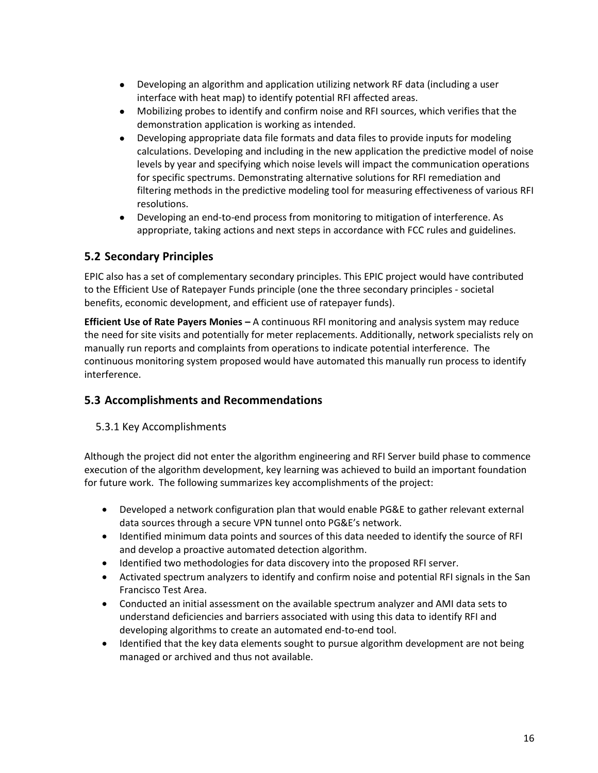- Developing an algorithm and application utilizing network RF data (including a user interface with heat map) to identify potential RFI affected areas.
- Mobilizing probes to identify and confirm noise and RFI sources, which verifies that the demonstration application is working as intended.
- Developing appropriate data file formats and data files to provide inputs for modeling calculations. Developing and including in the new application the predictive model of noise levels by year and specifying which noise levels will impact the communication operations for specific spectrums. Demonstrating alternative solutions for RFI remediation and filtering methods in the predictive modeling tool for measuring effectiveness of various RFI resolutions.
- Developing an end-to-end process from monitoring to mitigation of interference. As appropriate, taking actions and next steps in accordance with FCC rules and guidelines.

### <span id="page-15-0"></span>**5.2 Secondary Principles**

EPIC also has a set of complementary secondary principles. This EPIC project would have contributed to the Efficient Use of Ratepayer Funds principle (one the three secondary principles - societal benefits, economic development, and efficient use of ratepayer funds).

**Efficient Use of Rate Payers Monies –** A continuous RFI monitoring and analysis system may reduce the need for site visits and potentially for meter replacements. Additionally, network specialists rely on manually run reports and complaints from operations to indicate potential interference. The continuous monitoring system proposed would have automated this manually run process to identify interference.

## <span id="page-15-2"></span><span id="page-15-1"></span>**5.3 Accomplishments and Recommendations**

### 5.3.1 Key Accomplishments

Although the project did not enter the algorithm engineering and RFI Server build phase to commence execution of the algorithm development, key learning was achieved to build an important foundation for future work. The following summarizes key accomplishments of the project:

- Developed a network configuration plan that would enable PG&E to gather relevant external data sources through a secure VPN tunnel onto PG&E's network.
- Identified minimum data points and sources of this data needed to identify the source of RFI and develop a proactive automated detection algorithm.
- Identified two methodologies for data discovery into the proposed RFI server.
- Activated spectrum analyzers to identify and confirm noise and potential RFI signals in the San Francisco Test Area.
- Conducted an initial assessment on the available spectrum analyzer and AMI data sets to understand deficiencies and barriers associated with using this data to identify RFI and developing algorithms to create an automated end-to-end tool.
- Identified that the key data elements sought to pursue algorithm development are not being managed or archived and thus not available.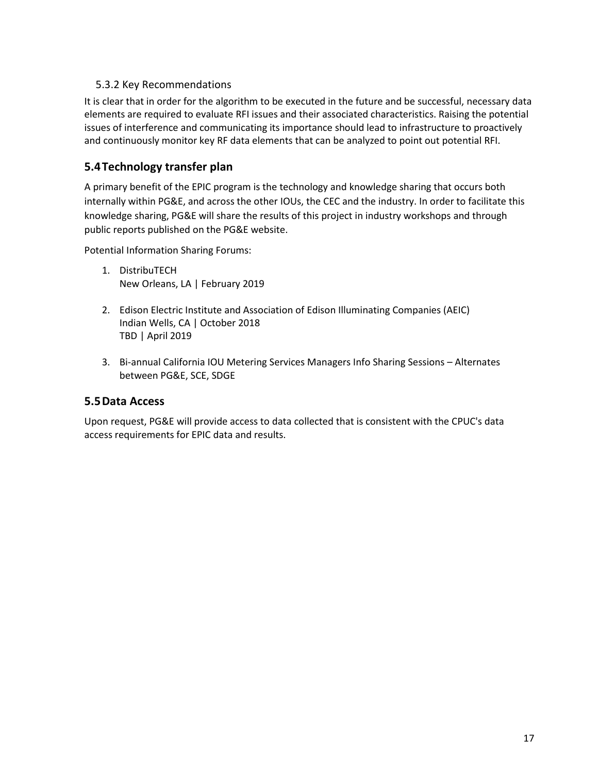### 5.3.2 Key Recommendations

<span id="page-16-0"></span>It is clear that in order for the algorithm to be executed in the future and be successful, necessary data elements are required to evaluate RFI issues and their associated characteristics. Raising the potential issues of interference and communicating its importance should lead to infrastructure to proactively and continuously monitor key RF data elements that can be analyzed to point out potential RFI.

### <span id="page-16-1"></span>**5.4Technology transfer plan**

A primary benefit of the EPIC program is the technology and knowledge sharing that occurs both internally within PG&E, and across the other IOUs, the CEC and the industry. In order to facilitate this knowledge sharing, PG&E will share the results of this project in industry workshops and through public reports published on the PG&E website.

Potential Information Sharing Forums:

- 1. DistribuTECH New Orleans, LA | February 2019
- 2. Edison Electric Institute and Association of Edison Illuminating Companies (AEIC) Indian Wells, CA | October 2018 TBD | April 2019
- 3. Bi-annual California IOU Metering Services Managers Info Sharing Sessions Alternates between PG&E, SCE, SDGE

### <span id="page-16-2"></span>**5.5Data Access**

Upon request, PG&E will provide access to data collected that is consistent with the CPUC's data access requirements for EPIC data and results.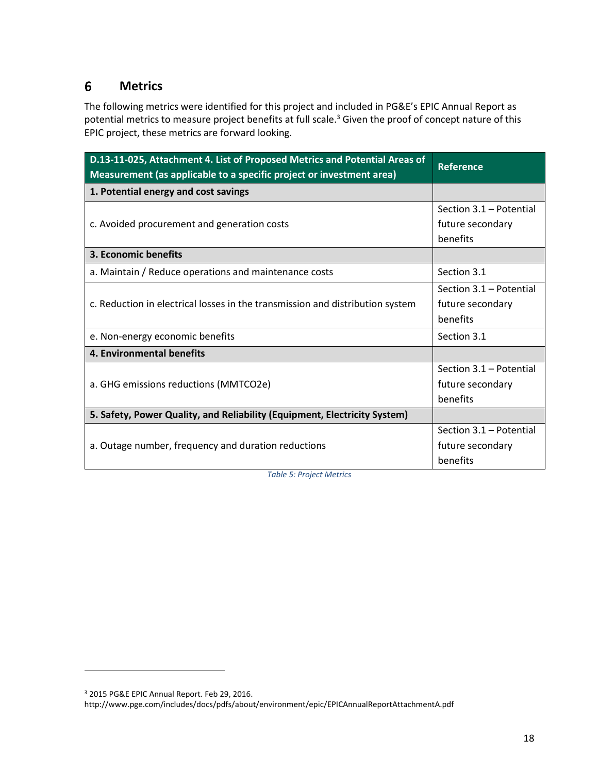#### <span id="page-17-0"></span>6 **Metrics**

The following metrics were identified for this project and included in PG&E's EPIC Annual Report as potential metrics to measure project benefits at full scale.<sup>3</sup> Given the proof of concept nature of this EPIC project, these metrics are forward looking.

| D.13-11-025, Attachment 4. List of Proposed Metrics and Potential Areas of<br>Measurement (as applicable to a specific project or investment area) | <b>Reference</b>        |
|----------------------------------------------------------------------------------------------------------------------------------------------------|-------------------------|
| 1. Potential energy and cost savings                                                                                                               |                         |
| c. Avoided procurement and generation costs                                                                                                        | Section 3.1 - Potential |
|                                                                                                                                                    | future secondary        |
|                                                                                                                                                    | benefits                |
| 3. Economic benefits                                                                                                                               |                         |
| a. Maintain / Reduce operations and maintenance costs                                                                                              | Section 3.1             |
| c. Reduction in electrical losses in the transmission and distribution system                                                                      | Section 3.1 - Potential |
|                                                                                                                                                    | future secondary        |
|                                                                                                                                                    | benefits                |
| e. Non-energy economic benefits                                                                                                                    | Section 3.1             |
| 4. Environmental benefits                                                                                                                          |                         |
| a. GHG emissions reductions (MMTCO2e)                                                                                                              | Section 3.1 - Potential |
|                                                                                                                                                    | future secondary        |
|                                                                                                                                                    | benefits                |
| 5. Safety, Power Quality, and Reliability (Equipment, Electricity System)                                                                          |                         |
| a. Outage number, frequency and duration reductions                                                                                                | Section 3.1 - Potential |
|                                                                                                                                                    | future secondary        |
|                                                                                                                                                    | benefits                |

*Table 5: Project Metrics* 

<span id="page-17-1"></span> $\overline{a}$ 

<sup>3</sup> 2015 PG&E EPIC Annual Report. Feb 29, 2016.

<http://www.pge.com/includes/docs/pdfs/about/environment/epic/EPICAnnualReportAttachmentA.pdf>